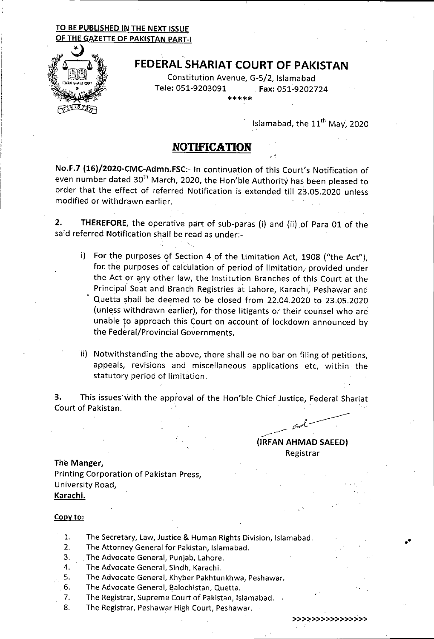## **TO BE PUBLISHED IN THE NEXT ISSUE OF THE GAZETTE OF PAKISTAN PART-I**



## **FEDERAL SHARIAT COURT OF PAKISTAN**

Constitution Avenue, G-5/2, Islamabad **Tele:** 051-9203091 **Fax:** 051-9202724

\*\*\*\*\*

Islamabad, the  $11^{th}$  May, 2020

## **NOTIFICATION**

No.F.7 (16)/2020-CMC-Admn.FSC:- In continuation of this Court's Notification of even number dated 30<sup>th</sup> March, 2020, the Hon'ble Authority has been pleased to order that the effect of referred Notification is extended till 23.05.2020 unless modified or withdrawn earlier.

**2. THEREFORE,** the operative part of sub-paras (i) and (ii) of Para 01 of the said referred Notification shall be read as under:-

- For the purposes of Section 4 of the Limitation Act, 1908 ("the Act"), for the purposes of calculation of period of limitation, provided under the Act or any other law, the Institution Branches of this Court at the Principal Seat and Branch Registries at Lahore, Karachi, Peshawar and Quetta shall be deemed to be closed from 22.04.2020 to 23.05.2020 (unless withdrawn earlier), for those litigants or their counsel who are unable to approach this Court on account of lockdown announced by the Federal/Provincial Governments.
- Notwithstanding the above, there shall be no bar on filing of petitions, appeals, revisions and miscellaneous applications etc, within the statutory period of limitation.

**3.** This issues with the approval of the Hon'ble Chief Justice, Federal Shariat Court of Pakistan.

> **(IRFAN AHMAD SAEED)**  Registrar

**The Manger,**  Printing Corporation of Pakistan Press, University Road, **Karachi.** 

## Copy to:

- $\mathbf{1}$ . The Secretary, Law, Justice & Human Rights Division, Islamabad.
- $2.$ The Attorney General for Pakistan, Islamabad.
- 3. The Advocate General, Punjab, Lahore.
- $4.$ The Advocate General, Sindh, Karachi.
- 5. The Advocate General, Khyber Pakhtunkhwa, Peshawar.
- 6. The Advocate General, Balochistan, Quetta.
- 7. The Registrar, Supreme Court of Pakistan, Islamabad.
- 8. The Registrar, Peshawar High Court, Peshawar.

>»>>>>>>»»»